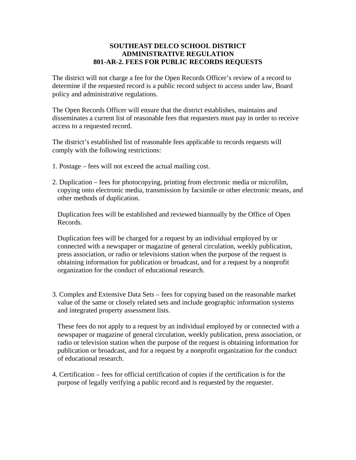## **SOUTHEAST DELCO SCHOOL DISTRICT ADMINISTRATIVE REGULATION 801-AR-2. FEES FOR PUBLIC RECORDS REQUESTS**

The district will not charge a fee for the Open Records Officer's review of a record to determine if the requested record is a public record subject to access under law, Board policy and administrative regulations.

The Open Records Officer will ensure that the district establishes, maintains and disseminates a current list of reasonable fees that requesters must pay in order to receive access to a requested record.

The district's established list of reasonable fees applicable to records requests will comply with the following restrictions:

- 1. Postage fees will not exceed the actual mailing cost.
- 2. Duplication fees for photocopying, printing from electronic media or microfilm, copying onto electronic media, transmission by facsimile or other electronic means, and other methods of duplication.

Duplication fees will be established and reviewed biannually by the Office of Open Records.

Duplication fees will be charged for a request by an individual employed by or connected with a newspaper or magazine of general circulation, weekly publication, press association, or radio or televisions station when the purpose of the request is obtaining information for publication or broadcast, and for a request by a nonprofit organization for the conduct of educational research.

3. Complex and Extensive Data Sets – fees for copying based on the reasonable market value of the same or closely related sets and include geographic information systems and integrated property assessment lists.

These fees do not apply to a request by an individual employed by or connected with a newspaper or magazine of general circulation, weekly publication, press association, or radio or television station when the purpose of the request is obtaining information for publication or broadcast, and for a request by a nonprofit organization for the conduct of educational research.

4. Certification – fees for official certification of copies if the certification is for the purpose of legally verifying a public record and is requested by the requester.